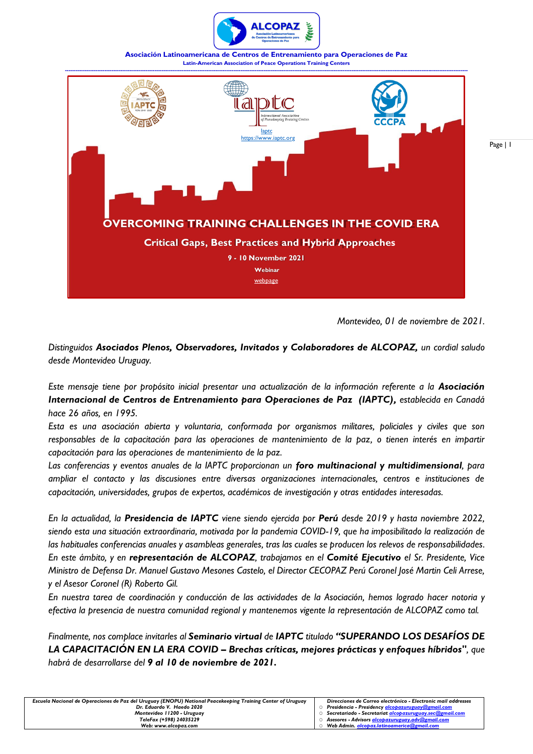

**Asociación Latinoamericana de Centros de Entrenamiento para Operaciones de Paz Latin-American Association of Peace Operations Training Centers**



*Montevideo, 01 de noviembre de 2021.*

Page | 1

*Distinguidos Asociados Plenos, Observadores, Invitados y Colaboradores de ALCOPAZ, un cordial saludo desde Montevideo Uruguay.*

*Este mensaje tiene por propósito inicial presentar una actualización de la información referente a la Asociación Internacional de Centros de Entrenamiento para Operaciones de Paz (IAPTC), establecida en Canadá hace 26 años, en 1995.* 

*Esta es una asociación abierta y voluntaria, conformada por organismos militares, policiales y civiles que son responsables de la capacitación para las operaciones de mantenimiento de la paz, o tienen interés en impartir capacitación para las operaciones de mantenimiento de la paz.*

*Las conferencias y eventos anuales de la IAPTC proporcionan un foro multinacional y multidimensional, para ampliar el contacto y las discusiones entre diversas organizaciones internacionales, centros e instituciones de capacitación, universidades, grupos de expertos, académicos de investigación y otras entidades interesadas.* 

*En la actualidad, la Presidencia de IAPTC viene siendo ejercida por Perú desde 2019 y hasta noviembre 2022, siendo esta una situación extraordinaria, motivada por la pandemia COVID-19, que ha imposibilitado la realización de las habituales conferencias anuales y asambleas generales, tras las cuales se producen los relevos de responsabilidades. En este ámbito, y en representación de ALCOPAZ, trabajamos en el Comité Ejecutivo el Sr. Presidente, Vice Ministro de Defensa Dr. Manuel Gustavo Mesones Castelo, el Director CECOPAZ Perú Coronel José Martin Celi Arrese, y el Asesor Coronel (R) Roberto Gil.*

*En nuestra tarea de coordinación y conducción de las actividades de la Asociación, hemos logrado hacer notoria y efectiva la presencia de nuestra comunidad regional y mantenemos vigente la representación de ALCOPAZ como tal.*

*Finalmente, nos complace invitarles al Seminario virtual de IAPTC titulado "SUPERANDO LOS DESAFÍOS DE LA CAPACITACIÓN EN LA ERA COVID – Brechas críticas, mejores prácticas y enfoques híbridos", que habrá de desarrollarse del 9 al 10 de noviembre de 2021.*

| Escuela Nacional de Operaciones de Paz del Uruguay (ENOPU) National Peacekeeping Training Center of Uruguay | Direcciones de Correo electrónico - Electronic mail addresses |
|-------------------------------------------------------------------------------------------------------------|---------------------------------------------------------------|
| Dr. Eduardo V. Haedo 2020                                                                                   | Presidencia – Presidency <u>alcopazuruguay@gmail.com</u>      |
| Montevideo 11200 - Uruguay                                                                                  | Secretariado - Secretariat alcopazuruguay.sec@gmail.com       |
| TeleFax (+598) 24035229                                                                                     | Asesores - Advisors alcopazuruguay.adv@gmail.com              |
| Web: www.alcobaz.com                                                                                        | Web Admin, alcobaz.latinoamerica@gmail.com                    |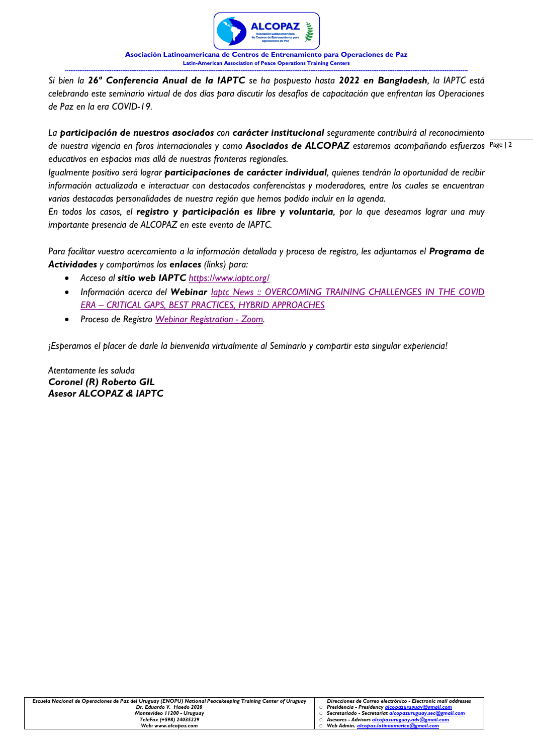

**Asociación Latinoamericana de Centros de Entrenamiento para Operaciones de Paz Latin-American Association of Peace Operations Training Centers ---------------------------------------------------------------------------------------------------------------------------------------------------------------------------------------------------------------------------------**

*Si bien la 26ª Conferencia Anual de la IAPTC se ha pospuesto hasta 2022 en Bangladesh, la IAPTC está celebrando este seminario virtual de dos días para discutir los desafíos de capacitación que enfrentan las Operaciones de Paz en la era COVID-19.* 

de nuestra vigencia en foros internacionales y como **Asociados de ALCOPAZ** estaremos acompañando esfuerzos <sup>Page</sup> l <sup>2</sup> *La participación de nuestros asociados con carácter institucional seguramente contribuirá al reconocimiento educativos en espacios mas allá de nuestras fronteras regionales.* 

*Igualmente positivo será lograr participaciones de carácter individual, quienes tendrán la oportunidad de recibir información actualizada e interactuar con destacados conferencistas y moderadores, entre los cuales se encuentran varias destacadas personalidades de nuestra región que hemos podido incluir en la agenda.*

*En todos los casos, el registro y participación es libre y voluntaria, por lo que deseamos lograr una muy importante presencia de ALCOPAZ en este evento de IAPTC.*

*Para facilitar vuestro acercamiento a la información detallada y proceso de registro, les adjuntamos el Programa de Actividades y compartimos los enlaces (links) para:*

- *Acceso al sitio web IAPTC <https://www.iaptc.org/>*
- *Información acerca del Webinar Iaptc News :: [OVERCOMING](https://iaptc.org/news-details/68/OVERCOMING%20TRAINING%20CHALLENGES%20IN%20THE%20COVID%20ERA%20%E2%80%93%20CRITICAL%20GAPS,%20BEST%20PRACTICES,%20HYBRID%20APPROACHES) TRAINING CHALLENGES IN THE COVID ERA – CRITICAL GAPS, BEST PRACTICES, HYBRID [APPROACHES](https://iaptc.org/news-details/68/OVERCOMING%20TRAINING%20CHALLENGES%20IN%20THE%20COVID%20ERA%20%E2%80%93%20CRITICAL%20GAPS,%20BEST%20PRACTICES,%20HYBRID%20APPROACHES)*
- *Proceso de Registro Webinar [Registration](https://zoom.us/webinar/register/WN_w3qVOGyKTcW9oqLg0Zdfdw) - Zoom.*

*¡Esperamos el placer de darle la bienvenida virtualmente al Seminario y compartir esta singular experiencia!*

*Atentamente les saluda Coronel (R) Roberto GIL Asesor ALCOPAZ & IAPTC*

| Escuela Nacional de Operaciones de Paz del Uruguay (ENOPU) National Peacekeeping Training Center of Uruguay | Direcciones de Correo electrónico - Electronic mail addresses |
|-------------------------------------------------------------------------------------------------------------|---------------------------------------------------------------|
| Dr. Eduardo V. Haedo 2020                                                                                   | Presidencia - Presidency alcobazuruguay@gmail.com             |
| Montevideo 11200 - Uruguay                                                                                  | O Secretariado - Secretariat alcopazuruguay.sec@gmail.com     |
| TeleFax (+598) 24035229                                                                                     | O Asesores - Advisors alcopazuruguay.adv@gmail.com            |
| Web: www.alcobaz.com                                                                                        | Web Admin, alcobaz.latinoamerica@gmail.com                    |
|                                                                                                             |                                                               |